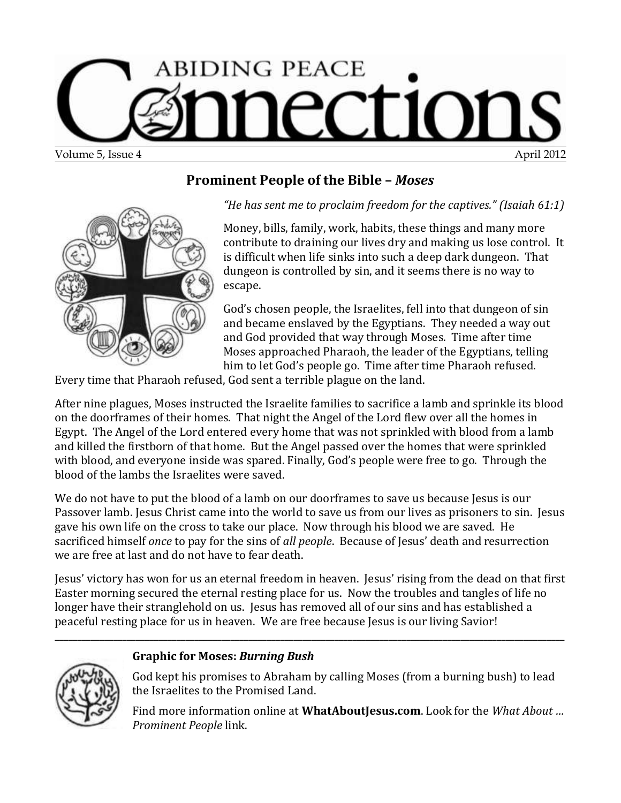

### **Prominent People of the Bible –** *Moses*



*"He has sent me to proclaim freedom for the captives." (Isaiah 61:1)*

Money, bills, family, work, habits, these things and many more contribute to draining our lives dry and making us lose control. It is difficult when life sinks into such a deep dark dungeon. That dungeon is controlled by sin, and it seems there is no way to escape.

God's chosen people, the Israelites, fell into that dungeon of sin and became enslaved by the Egyptians. They needed a way out and God provided that way through Moses. Time after time Moses approached Pharaoh, the leader of the Egyptians, telling him to let God's people go. Time after time Pharaoh refused.

Every time that Pharaoh refused, God sent a terrible plague on the land.

After nine plagues, Moses instructed the Israelite families to sacrifice a lamb and sprinkle its blood on the doorframes of their homes. That night the Angel of the Lord flew over all the homes in Egypt. The Angel of the Lord entered every home that was not sprinkled with blood from a lamb and killed the firstborn of that home. But the Angel passed over the homes that were sprinkled with blood, and everyone inside was spared. Finally, God's people were free to go. Through the blood of the lambs the Israelites were saved.

We do not have to put the blood of a lamb on our doorframes to save us because Jesus is our Passover lamb. Jesus Christ came into the world to save us from our lives as prisoners to sin. Jesus gave his own life on the cross to take our place. Now through his blood we are saved. He sacrificed himself *once* to pay for the sins of *all people*. Because of Jesus' death and resurrection we are free at last and do not have to fear death.

Jesus' victory has won for us an eternal freedom in heaven. Jesus' rising from the dead on that first Easter morning secured the eternal resting place for us. Now the troubles and tangles of life no longer have their stranglehold on us. Jesus has removed all of our sins and has established a peaceful resting place for us in heaven. We are free because Jesus is our living Savior!

**\_\_\_\_\_\_\_\_\_\_\_\_\_\_\_\_\_\_\_\_\_\_\_\_\_\_\_\_\_\_\_\_\_\_\_\_\_\_\_\_\_\_\_\_\_\_\_\_\_\_\_\_\_\_\_\_\_\_\_\_\_\_\_\_\_\_\_\_\_\_\_\_\_\_\_\_\_\_\_\_\_\_\_\_\_\_\_\_\_\_\_\_\_\_\_\_\_\_\_\_\_\_\_\_\_\_\_\_\_\_\_\_\_**

#### **Graphic for Moses:** *Burning Bush*

God kept his promises to Abraham by calling Moses (from a burning bush) to lead the Israelites to the Promised Land.

Find more information online at **[WhatAboutJesus.com](http://www.whataboutjesus.com/)**. Look for the *[What About …](http://whataboutjesus.com/prominent-people-bible/prominent-people-bible)  [Prominent People](http://whataboutjesus.com/prominent-people-bible/prominent-people-bible)* link.